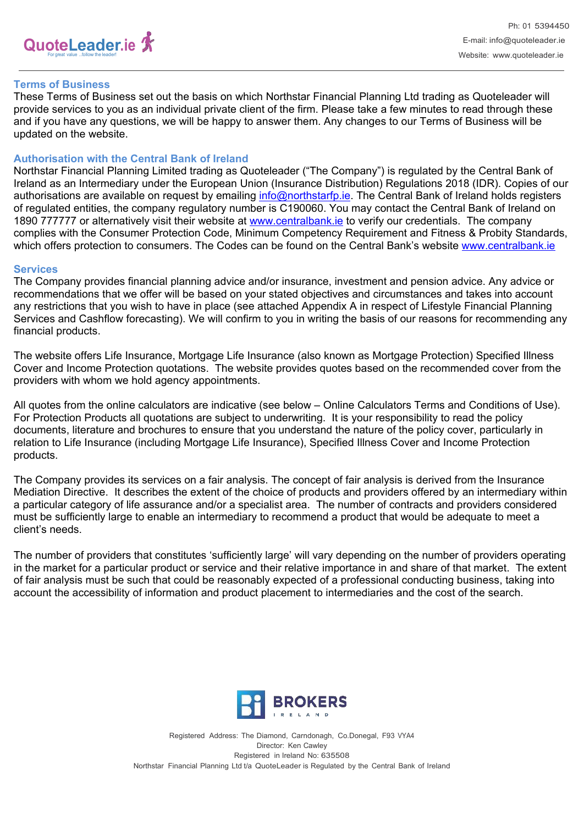

### **Terms of Business**

These Terms of Business set out the basis on which Northstar Financial Planning Ltd trading as Quoteleader will provide services to you as an individual private client of the firm. Please take a few minutes to read through these and if you have any questions, we will be happy to answer them. Any changes to our Terms of Business will be updated on the website.

#### **Authorisation with the Central Bank of Ireland**

Northstar Financial Planning Limited trading as Quoteleader ("The Company") is regulated by the Central Bank of Ireland as an Intermediary under the European Union (Insurance Distribution) Regulations 2018 (IDR). Copies of our authorisations are available on request by emailing [info@northstarfp.ie.](mailto:info@northstarfp.ie) The Central Bank of Ireland holds registers of regulated entities, the company regulatory number is C190060. You may contact the Central Bank of Ireland on 1890 777777 or alternatively visit their website at [www.centralbank.ie](http://www.centralbank.ie/) to verify our credentials. The company complies with the Consumer Protection Code, Minimum Competency Requirement and Fitness & Probity Standards, which offers protection to consumers. The Codes can be found on the Central Bank's website [www.centralbank.ie](http://www.centralbank.ie/)

#### **Services**

The Company provides financial planning advice and/or insurance, investment and pension advice. Any advice or recommendations that we offer will be based on your stated objectives and circumstances and takes into account any restrictions that you wish to have in place (see attached Appendix A in respect of Lifestyle Financial Planning Services and Cashflow forecasting). We will confirm to you in writing the basis of our reasons for recommending any financial products.

The website offers Life Insurance, Mortgage Life Insurance (also known as Mortgage Protection) Specified Illness Cover and Income Protection quotations. The website provides quotes based on the recommended cover from the providers with whom we hold agency appointments.

All quotes from the online calculators are indicative (see below – Online Calculators Terms and Conditions of Use). For Protection Products all quotations are subject to underwriting. It is your responsibility to read the policy documents, literature and brochures to ensure that you understand the nature of the policy cover, particularly in relation to Life Insurance (including Mortgage Life Insurance), Specified Illness Cover and Income Protection products.

The Company provides its services on a fair analysis. The concept of fair analysis is derived from the Insurance Mediation Directive. It describes the extent of the choice of products and providers offered by an intermediary within a particular category of life assurance and/or a specialist area. The number of contracts and providers considered must be sufficiently large to enable an intermediary to recommend a product that would be adequate to meet a client's needs.

The number of providers that constitutes 'sufficiently large' will vary depending on the number of providers operating in the market for a particular product or service and their relative importance in and share of that market. The extent of fair analysis must be such that could be reasonably expected of a professional conducting business, taking into account the accessibility of information and product placement to intermediaries and the cost of the search.



Registered Address: The Diamond, Carndonagh, Co.Donegal, F93 VYA4 Director: Ken Cawley Registered in Ireland No: 635508 Northstar Financial Planning Ltd t/a QuoteLeader is Regulated by the Central Bank of Ireland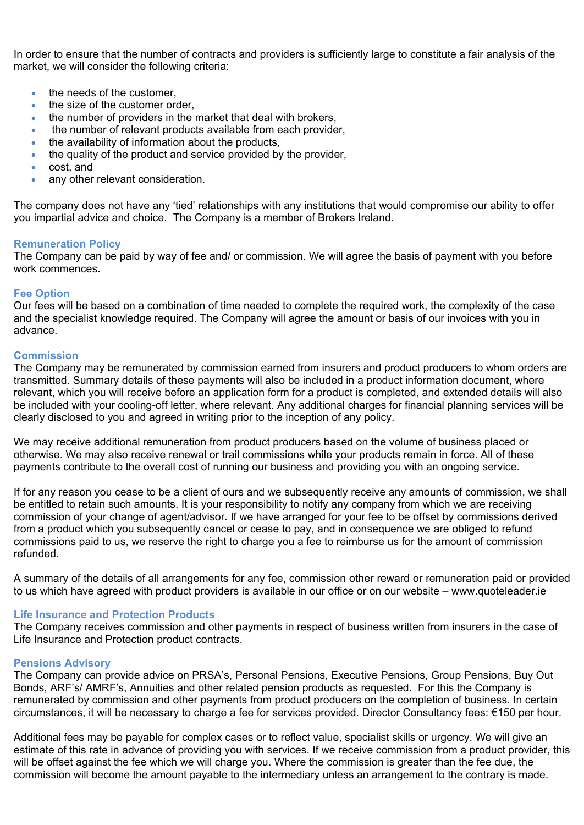In order to ensure that the number of contracts and providers is sufficiently large to constitute a fair analysis of the market, we will consider the following criteria:

- the needs of the customer.
- $\bullet$  the size of the customer order
- the number of providers in the market that deal with brokers,
- the number of relevant products available from each provider,
- the availability of information about the products,
- the quality of the product and service provided by the provider,
- cost, and
- any other relevant consideration.

The company does not have any 'tied' relationships with any institutions that would compromise our ability to offer you impartial advice and choice. The Company is a member of Brokers Ireland.

## **Remuneration Policy**

The Company can be paid by way of fee and/ or commission. We will agree the basis of payment with you before work commences.

### **Fee Option**

Our fees will be based on a combination of time needed to complete the required work, the complexity of the case and the specialist knowledge required. The Company will agree the amount or basis of our invoices with you in advance.

## **Commission**

The Company may be remunerated by commission earned from insurers and product producers to whom orders are transmitted. Summary details of these payments will also be included in a product information document, where relevant, which you will receive before an application form for a product is completed, and extended details will also be included with your cooling-off letter, where relevant. Any additional charges for financial planning services will be clearly disclosed to you and agreed in writing prior to the inception of any policy.

We may receive additional remuneration from product producers based on the volume of business placed or otherwise. We may also receive renewal or trail commissions while your products remain in force. All of these payments contribute to the overall cost of running our business and providing you with an ongoing service.

If for any reason you cease to be a client of ours and we subsequently receive any amounts of commission, we shall be entitled to retain such amounts. It is your responsibility to notify any company from which we are receiving commission of your change of agent/advisor. If we have arranged for your fee to be offset by commissions derived from a product which you subsequently cancel or cease to pay, and in consequence we are obliged to refund commissions paid to us, we reserve the right to charge you a fee to reimburse us for the amount of commission refunded.

A summary of the details of all arrangements for any fee, commission other reward or remuneration paid or provided to us which have agreed with product providers is available in our office or on our website – www.quoteleader.ie

### **Life Insurance and Protection Products**

The Company receives commission and other payments in respect of business written from insurers in the case of Life Insurance and Protection product contracts.

### **Pensions Advisory**

The Company can provide advice on PRSA's, Personal Pensions, Executive Pensions, Group Pensions, Buy Out Bonds, ARF's/ AMRF's, Annuities and other related pension products as requested. For this the Company is remunerated by commission and other payments from product producers on the completion of business. In certain circumstances, it will be necessary to charge a fee for services provided. Director Consultancy fees: €150 per hour.

Additional fees may be payable for complex cases or to reflect value, specialist skills or urgency. We will give an estimate of this rate in advance of providing you with services. If we receive commission from a product provider, this will be offset against the fee which we will charge you. Where the commission is greater than the fee due, the commission will become the amount payable to the intermediary unless an arrangement to the contrary is made.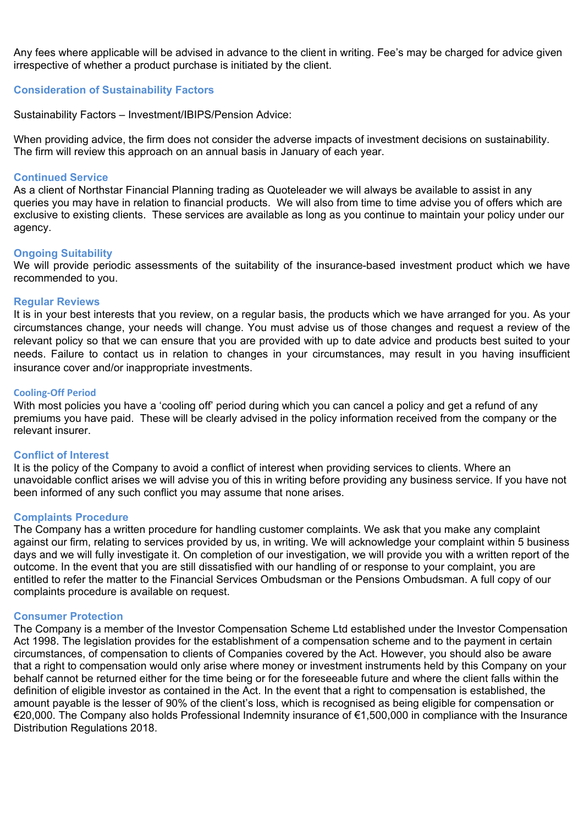Any fees where applicable will be advised in advance to the client in writing. Fee's may be charged for advice given irrespective of whether a product purchase is initiated by the client.

## **Consideration of Sustainability Factors**

Sustainability Factors – Investment/IBIPS/Pension Advice:

When providing advice, the firm does not consider the adverse impacts of investment decisions on sustainability. The firm will review this approach on an annual basis in January of each year.

#### **Continued Service**

As a client of Northstar Financial Planning trading as Quoteleader we will always be available to assist in any queries you may have in relation to financial products. We will also from time to time advise you of offers which are exclusive to existing clients. These services are available as long as you continue to maintain your policy under our agency.

#### **Ongoing Suitability**

We will provide periodic assessments of the suitability of the insurance-based investment product which we have recommended to you.

#### **Regular Reviews**

It is in your best interests that you review, on a regular basis, the products which we have arranged for you. As your circumstances change, your needs will change. You must advise us of those changes and request a review of the relevant policy so that we can ensure that you are provided with up to date advice and products best suited to your needs. Failure to contact us in relation to changes in your circumstances, may result in you having insufficient insurance cover and/or inappropriate investments.

#### **Cooling-Off Period**

With most policies you have a 'cooling off' period during which you can cancel a policy and get a refund of any premiums you have paid. These will be clearly advised in the policy information received from the company or the relevant insurer.

## **Conflict of Interest**

It is the policy of the Company to avoid a conflict of interest when providing services to clients. Where an unavoidable conflict arises we will advise you of this in writing before providing any business service. If you have not been informed of any such conflict you may assume that none arises.

### **Complaints Procedure**

The Company has a written procedure for handling customer complaints. We ask that you make any complaint against our firm, relating to services provided by us, in writing. We will acknowledge your complaint within 5 business days and we will fully investigate it. On completion of our investigation, we will provide you with a written report of the outcome. In the event that you are still dissatisfied with our handling of or response to your complaint, you are entitled to refer the matter to the Financial Services Ombudsman or the Pensions Ombudsman. A full copy of our complaints procedure is available on request.

### **Consumer Protection**

The Company is a member of the Investor Compensation Scheme Ltd established under the Investor Compensation Act 1998. The legislation provides for the establishment of a compensation scheme and to the payment in certain circumstances, of compensation to clients of Companies covered by the Act. However, you should also be aware that a right to compensation would only arise where money or investment instruments held by this Company on your behalf cannot be returned either for the time being or for the foreseeable future and where the client falls within the definition of eligible investor as contained in the Act. In the event that a right to compensation is established, the amount payable is the lesser of 90% of the client's loss, which is recognised as being eligible for compensation or €20,000. The Company also holds Professional Indemnity insurance of €1,500,000 in compliance with the Insurance Distribution Regulations 2018.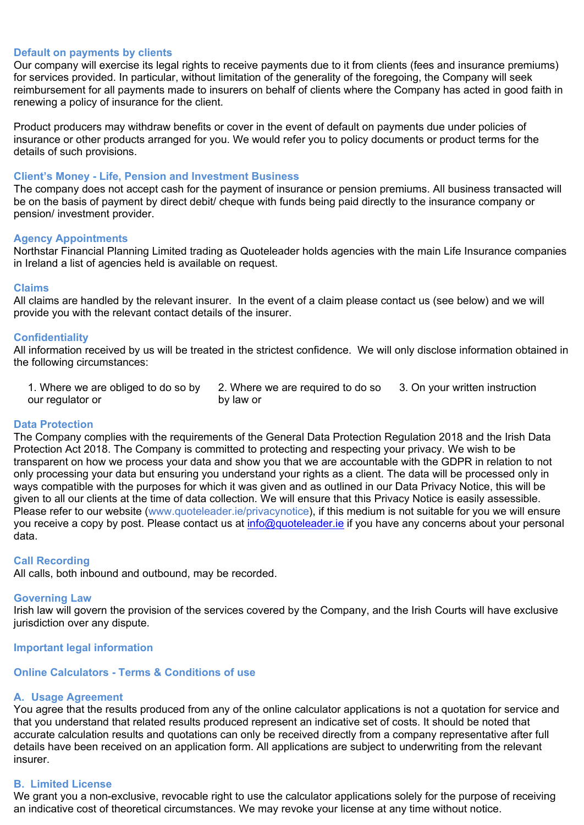## **Default on payments by clients**

Our company will exercise its legal rights to receive payments due to it from clients (fees and insurance premiums) for services provided. In particular, without limitation of the generality of the foregoing, the Company will seek reimbursement for all payments made to insurers on behalf of clients where the Company has acted in good faith in renewing a policy of insurance for the client.

Product producers may withdraw benefits or cover in the event of default on payments due under policies of insurance or other products arranged for you. We would refer you to policy documents or product terms for the details of such provisions.

### **Client's Money - Life, Pension and Investment Business**

The company does not accept cash for the payment of insurance or pension premiums. All business transacted will be on the basis of payment by direct debit/ cheque with funds being paid directly to the insurance company or pension/ investment provider.

### **Agency Appointments**

Northstar Financial Planning Limited trading as Quoteleader holds agencies with the main Life Insurance companies in Ireland a list of agencies held is available on request.

#### **Claims**

All claims are handled by the relevant insurer. In the event of a claim please contact us (see below) and we will provide you with the relevant contact details of the insurer.

### **Confidentiality**

All information received by us will be treated in the strictest confidence. We will only disclose information obtained in the following circumstances:

1. Where we are obliged to do so by our regulator or

2. Where we are required to do so by law or 3. On your written instruction

### **Data Protection**

The Company complies with the requirements of the General Data Protection Regulation 2018 and the Irish Data Protection Act 2018. The Company is committed to protecting and respecting your privacy. We wish to be transparent on how we process your data and show you that we are accountable with the GDPR in relation to not only processing your data but ensuring you understand your rights as a client. The data will be processed only in ways compatible with the purposes for which it was given and as outlined in our Data Privacy Notice, this will be given to all our clients at the time of data collection. We will ensure that this Privacy Notice is easily assessible. Please refer to our website (www.quoteleader.ie/privacynotice), if this medium is not suitable for you we will ensure you receive a copy by post. Please contact us at [info@quoteleader.ie](mailto:info@quoteleader.ie) if you have any concerns about your personal data.

### **Call Recording**

All calls, both inbound and outbound, may be recorded.

#### **Governing Law**

Irish law will govern the provision of the services covered by the Company, and the Irish Courts will have exclusive jurisdiction over any dispute.

#### **Important legal information**

## **Online Calculators - Terms & Conditions of use**

### **A. Usage Agreement**

You agree that the results produced from any of the online calculator applications is not a quotation for service and that you understand that related results produced represent an indicative set of costs. It should be noted that accurate calculation results and quotations can only be received directly from a company representative after full details have been received on an application form. All applications are subject to underwriting from the relevant insurer.

#### **B. Limited License**

We grant you a non-exclusive, revocable right to use the calculator applications solely for the purpose of receiving an indicative cost of theoretical circumstances. We may revoke your license at any time without notice.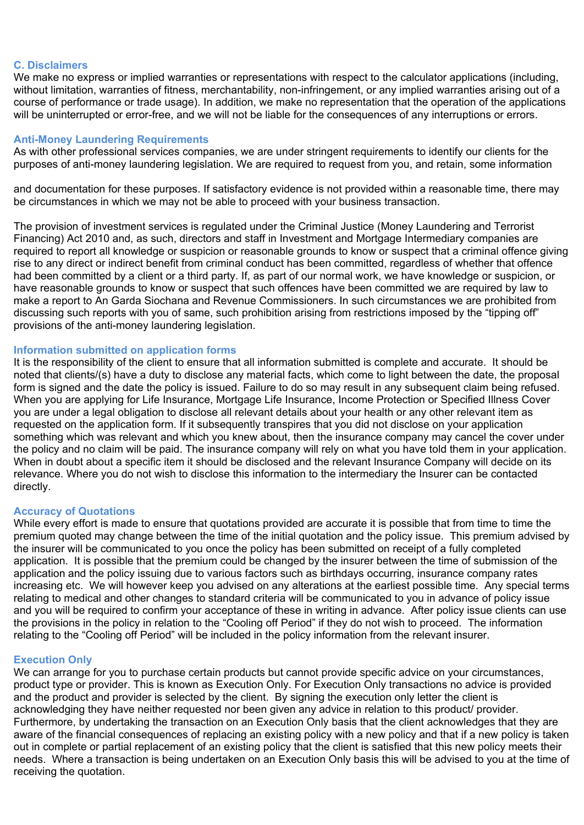## **C. Disclaimers**

We make no express or implied warranties or representations with respect to the calculator applications (including, without limitation, warranties of fitness, merchantability, non-infringement, or any implied warranties arising out of a course of performance or trade usage). In addition, we make no representation that the operation of the applications will be uninterrupted or error-free, and we will not be liable for the consequences of any interruptions or errors.

## **Anti-Money Laundering Requirements**

As with other professional services companies, we are under stringent requirements to identify our clients for the purposes of anti-money laundering legislation. We are required to request from you, and retain, some information

and documentation for these purposes. If satisfactory evidence is not provided within a reasonable time, there may be circumstances in which we may not be able to proceed with your business transaction.

The provision of investment services is regulated under the Criminal Justice (Money Laundering and Terrorist Financing) Act 2010 and, as such, directors and staff in Investment and Mortgage Intermediary companies are required to report all knowledge or suspicion or reasonable grounds to know or suspect that a criminal offence giving rise to any direct or indirect benefit from criminal conduct has been committed, regardless of whether that offence had been committed by a client or a third party. If, as part of our normal work, we have knowledge or suspicion, or have reasonable grounds to know or suspect that such offences have been committed we are required by law to make a report to An Garda Siochana and Revenue Commissioners. In such circumstances we are prohibited from discussing such reports with you of same, such prohibition arising from restrictions imposed by the "tipping off" provisions of the anti-money laundering legislation.

## **Information submitted on application forms**

It is the responsibility of the client to ensure that all information submitted is complete and accurate. It should be noted that clients/(s) have a duty to disclose any material facts, which come to light between the date, the proposal form is signed and the date the policy is issued. Failure to do so may result in any subsequent claim being refused. When you are applying for Life Insurance, Mortgage Life Insurance, Income Protection or Specified Illness Cover you are under a legal obligation to disclose all relevant details about your health or any other relevant item as requested on the application form. If it subsequently transpires that you did not disclose on your application something which was relevant and which you knew about, then the insurance company may cancel the cover under the policy and no claim will be paid. The insurance company will rely on what you have told them in your application. When in doubt about a specific item it should be disclosed and the relevant Insurance Company will decide on its relevance. Where you do not wish to disclose this information to the intermediary the Insurer can be contacted directly.

### **Accuracy of Quotations**

While every effort is made to ensure that quotations provided are accurate it is possible that from time to time the premium quoted may change between the time of the initial quotation and the policy issue. This premium advised by the insurer will be communicated to you once the policy has been submitted on receipt of a fully completed application. It is possible that the premium could be changed by the insurer between the time of submission of the application and the policy issuing due to various factors such as birthdays occurring, insurance company rates increasing etc. We will however keep you advised on any alterations at the earliest possible time. Any special terms relating to medical and other changes to standard criteria will be communicated to you in advance of policy issue and you will be required to confirm your acceptance of these in writing in advance. After policy issue clients can use the provisions in the policy in relation to the "Cooling off Period" if they do not wish to proceed. The information relating to the "Cooling off Period" will be included in the policy information from the relevant insurer.

### **Execution Only**

We can arrange for you to purchase certain products but cannot provide specific advice on your circumstances, product type or provider. This is known as Execution Only. For Execution Only transactions no advice is provided and the product and provider is selected by the client. By signing the execution only letter the client is acknowledging they have neither requested nor been given any advice in relation to this product/ provider. Furthermore, by undertaking the transaction on an Execution Only basis that the client acknowledges that they are aware of the financial consequences of replacing an existing policy with a new policy and that if a new policy is taken out in complete or partial replacement of an existing policy that the client is satisfied that this new policy meets their needs. Where a transaction is being undertaken on an Execution Only basis this will be advised to you at the time of receiving the quotation.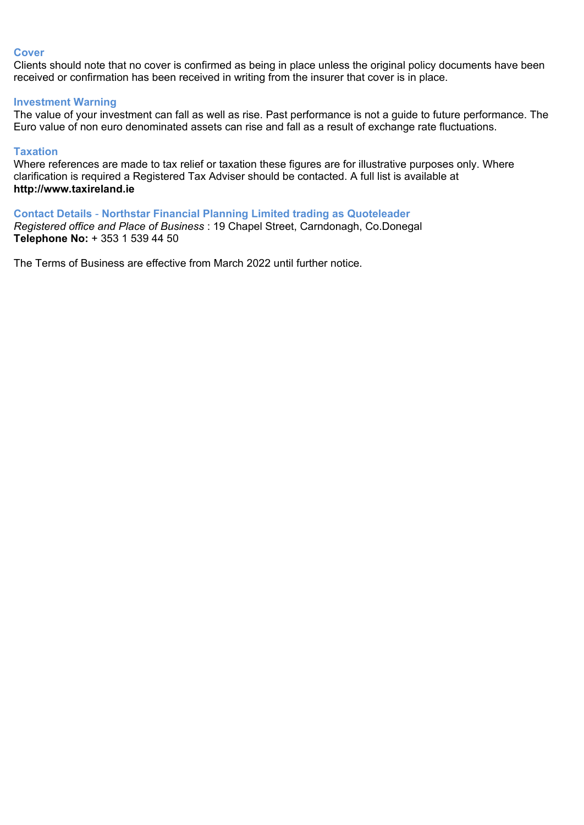## **Cover**

Clients should note that no cover is confirmed as being in place unless the original policy documents have been received or confirmation has been received in writing from the insurer that cover is in place.

## **Investment Warning**

The value of your investment can fall as well as rise. Past performance is not a guide to future performance. The Euro value of non euro denominated assets can rise and fall as a result of exchange rate fluctuations.

## **Taxation**

Where references are made to tax relief or taxation these figures are for illustrative purposes only. Where clarification is required a Registered Tax Adviser should be contacted. A full list is available at **[http://www.taxireland.ie](http://www.taxireland.ie/)**

**Contact Details** - **Northstar Financial Planning Limited trading as Quoteleader** *Registered office and Place of Business* : 19 Chapel Street, Carndonagh, Co.Donegal

**Telephone No:** + 353 1 539 44 50

The Terms of Business are effective from March 2022 until further notice.